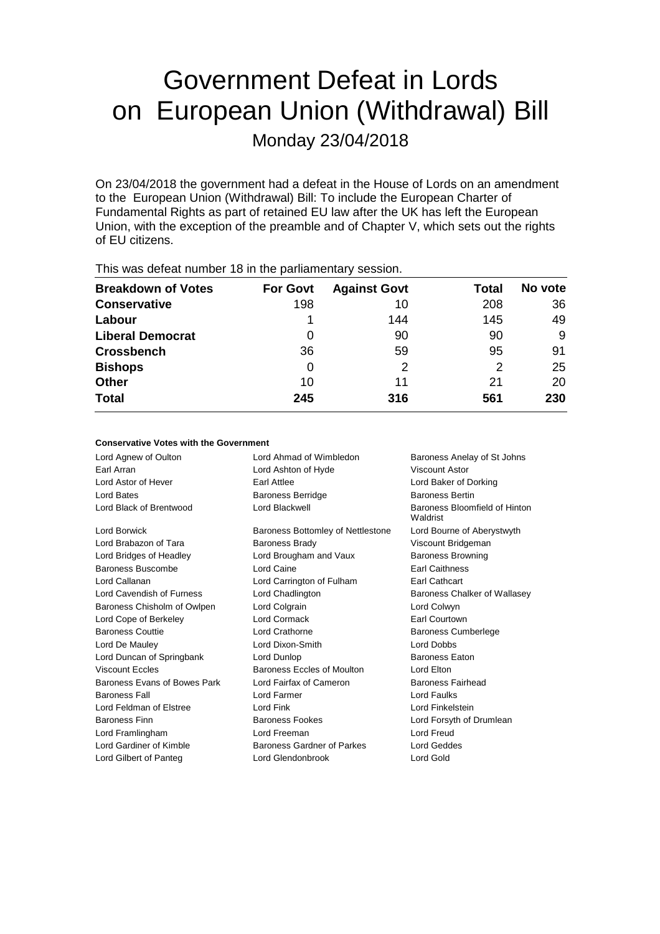# Government Defeat in Lords on European Union (Withdrawal) Bill

Monday 23/04/2018

On 23/04/2018 the government had a defeat in the House of Lords on an amendment to the European Union (Withdrawal) Bill: To include the European Charter of Fundamental Rights as part of retained EU law after the UK has left the European Union, with the exception of the preamble and of Chapter V, which sets out the rights of EU citizens.

| This was abloat harnoof To III the parliamentary occolor. |                 |                     |       |         |  |
|-----------------------------------------------------------|-----------------|---------------------|-------|---------|--|
| <b>Breakdown of Votes</b>                                 | <b>For Govt</b> | <b>Against Govt</b> | Total | No vote |  |
| <b>Conservative</b>                                       | 198             | 10                  | 208   | 36      |  |
| Labour                                                    |                 | 144                 | 145   | 49      |  |
| <b>Liberal Democrat</b>                                   | 0               | 90                  | 90    | 9       |  |
| <b>Crossbench</b>                                         | 36              | 59                  | 95    | 91      |  |
| <b>Bishops</b>                                            | 0               | 2                   | 2     | 25      |  |
| <b>Other</b>                                              | 10              | 11                  | 21    | 20      |  |
| <b>Total</b>                                              | 245             | 316                 | 561   | 230     |  |
|                                                           |                 |                     |       |         |  |

This was defeat number 18 in the parliamentary session.

#### **Conservative Votes with the Government**

| Lord Ahmad of Wimbledon           | Baroness Anelay of St Johns               |  |
|-----------------------------------|-------------------------------------------|--|
| Lord Ashton of Hyde               | <b>Viscount Astor</b>                     |  |
| Earl Attlee                       | Lord Baker of Dorking                     |  |
| <b>Baroness Berridge</b>          | <b>Baroness Bertin</b>                    |  |
| Lord Blackwell                    | Baroness Bloomfield of Hinton<br>Waldrist |  |
| Baroness Bottomley of Nettlestone | Lord Bourne of Aberystwyth                |  |
| <b>Baroness Brady</b>             | Viscount Bridgeman                        |  |
| Lord Brougham and Vaux            | <b>Baroness Browning</b>                  |  |
| Lord Caine                        | <b>Farl Caithness</b>                     |  |
| Lord Carrington of Fulham         | Earl Cathcart                             |  |
| Lord Chadlington                  | Baroness Chalker of Wallasey              |  |
| Lord Colgrain                     | Lord Colwyn                               |  |
| Lord Cormack                      | Earl Courtown                             |  |
| Lord Crathorne                    | <b>Baroness Cumberlege</b>                |  |
| Lord Dixon-Smith                  | Lord Dobbs                                |  |
| Lord Dunlop                       | <b>Baroness Eaton</b>                     |  |
| Baroness Eccles of Moulton        | Lord Elton                                |  |
| Lord Fairfax of Cameron           | Baroness Fairhead                         |  |
| Lord Farmer                       | <b>Lord Faulks</b>                        |  |
| Lord Fink                         | Lord Finkelstein                          |  |
| Baroness Fookes                   | Lord Forsyth of Drumlean                  |  |
| Lord Freeman                      | Lord Freud                                |  |
| Baroness Gardner of Parkes        | Lord Geddes                               |  |
| Lord Glendonbrook                 | Lord Gold                                 |  |
|                                   |                                           |  |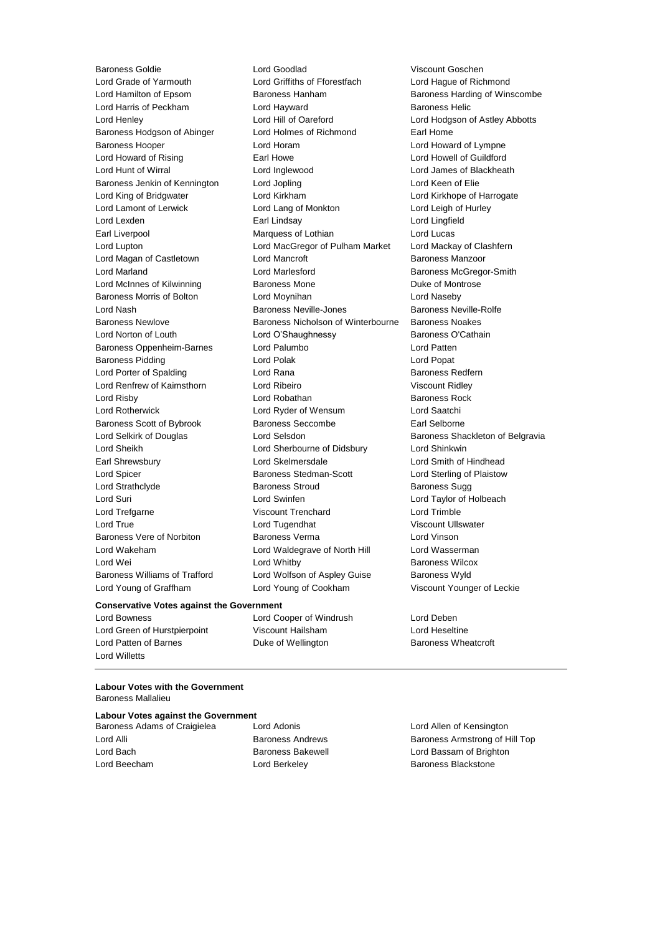Lord Young of Graffham Lord Young of Cookham Viscount Younger of Leckie

Baroness Goldie Lord Goodlad Viscount Goschen Lord Grade of Yarmouth Lord Griffiths of Fforestfach Lord Hague of Richmond Lord Hamilton of Epsom Baroness Hanham Baroness Harding of Winscombe Lord Harris of Peckham Lord Hayward Baroness Helic Lord Henley Lord Hill of Oareford Lord Hodgson of Astley Abbotts Baroness Hodgson of Abinger Lord Holmes of Richmond Earl Home Baroness Hooper Lord Horam Lord Howard of Lympne Lord Howard of Rising **Earl Howe Lord Howell of Guildford** Earl Howe **Lord Howell** of Guildford Lord Hunt of Wirral Lord Inglewood Lord James of Blackheath Baroness Jenkin of Kennington Lord Jopling North Lord Keen of Elie Lord King of Bridgwater Lord Kirkham Lord Kirkhope of Harrogate Lord Lamont of Lerwick Lord Lang of Monkton Lord Leigh of Hurley Lord Lexden Earl Lindsay Lord Lingfield Earl Liverpool **Marquess of Lothian** Lord Lucas Lord Lupton Lord MacGregor of Pulham Market Lord Mackay of Clashfern Lord Magan of Castletown Lord Mancroft Baroness Manzoor Lord Marland **Lord Marlesford** Baroness McGregor-Smith Lord McInnes of Kilwinning **Baroness Mone Baroness Mone Duke of Montrose** Baroness Morris of Bolton Lord Moynihan Lord Naseby Lord Nash Baroness Neville-Jones Baroness Neville-Rolfe Baroness Newlove Baroness Nicholson of Winterbourne Baroness Noakes Lord Norton of Louth Lord O'Shaughnessy Baroness O'Cathain Baroness Oppenheim-Barnes Lord Palumbo Lord Patten Baroness Pidding **Lord Polace Contract Contract Lord Polace Contract Contract Contract Contract Contract Contract Contract Contract Contract Contract Contract Contract Contract Contract Contract Contract Contract Contract** Lord Porter of Spalding **Lord Rana Baroness Redfern** Lord Renfrew of Kaimsthorn Lord Ribeiro Viscount Ridley Lord Risby **Lord Robathan** Baroness Rock **Lord Robathan** Baroness Rock Lord Rotherwick Lord Ryder of Wensum Lord Saatchi Baroness Scott of Bybrook Baroness Seccombe Earl Selborne Lord Selkirk of Douglas **Lord Selsdon** Baroness Shackleton of Belgravia Lord Sheikh Lord Sherbourne of Didsbury Lord Shinkwin Earl Shrewsbury Lord Skelmersdale Lord Smith of Hindhead Lord Spicer Baroness Stedman-Scott Lord Sterling of Plaistow Lord Strathclyde **Baroness Stroud** Baroness Sugg Lord Suri Lord Swinfen Lord Taylor of Holbeach Lord Trefgarne Viscount Trenchard Lord Trimble Lord True **Lord Tugendhat** Viscount Ullswater Baroness Vere of Norbiton Baroness Verma Lord Vinson Lord Wakeham Lord Waldegrave of North Hill Lord Wasserman Lord Wei **Lord Whitby Constant Lord Whitby Baroness Wilcox** Baroness Williams of Trafford Lord Wolfson of Aspley Guise Baroness Wyld

#### **Conservative Votes against the Government**

Lord Green of Hurstpierpoint Viscount Hailsham Lord Heseltine Lord Patten of Barnes **Duke of Wellington** Baroness Wheatcroft Lord Willetts

Lord Bowness Lord Cooper of Windrush Lord Deben

#### **Labour Votes with the Government** Baroness Mallalieu

## **Labour Votes against the Government**

Lord Beecham **Lord Berkeley Baroness Blackstone** 

Baroness Adams of Craigielea Lord Adonis Lord Allen of Kensington Lord Alli Baroness Andrews Baroness Armstrong of Hill Top Lord Bach **Baroness Bakewell Baroness Bakewell Lord Bassam of Brighton**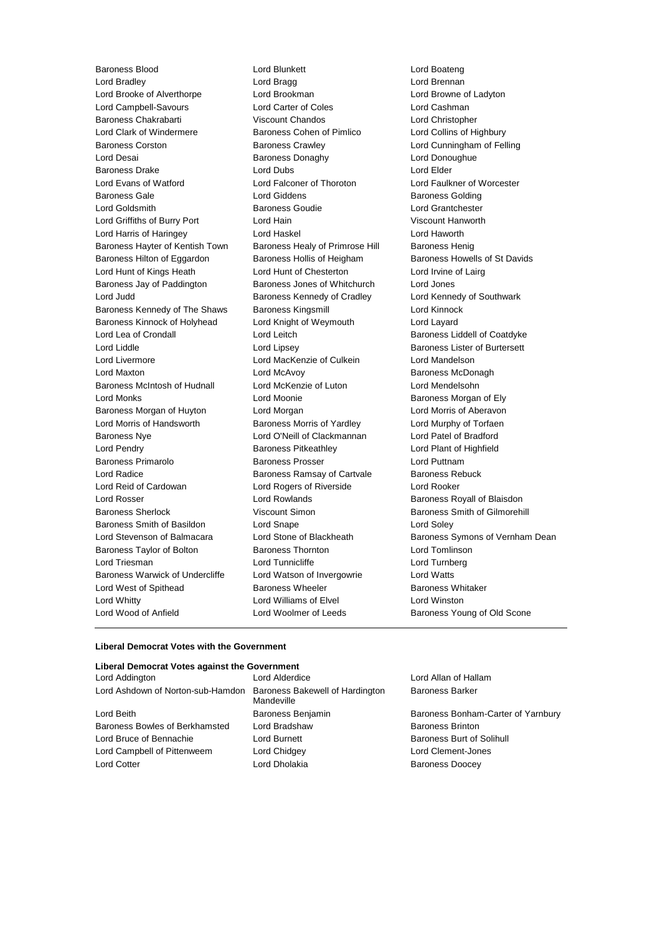Baroness Blood Lord Blunkett Lord Boateng Lord Bradley Lord Bragg Lord Brennan Lord Brooke of Alverthorpe Lord Brookman Lord Browne of Ladyton Lord Campbell-Savours Lord Carter of Coles Lord Cashman Baroness Chakrabarti Viscount Chandos Lord Christopher Lord Clark of Windermere Baroness Cohen of Pimlico Lord Collins of Highbury Baroness Corston **Baroness Crawley Lord Cunningham of Felling** Lord Desai **Baroness Donaghy** Lord Donoughue Baroness Drake Lord Dubs Lord Elder Lord Evans of Watford Lord Falconer of Thoroton Lord Faulkner of Worcester Baroness Gale **Baroness Golding** Lord Giddens **Baroness Golding** Lord Goldsmith Baroness Goudie Lord Grantchester Lord Griffiths of Burry Port Lord Hain Viscount Hanworth Lord Harris of Haringey Lord Haskel Lord Haworth Baroness Hayter of Kentish Town Baroness Healy of Primrose Hill Baroness Henig Baroness Hilton of Eggardon Baroness Hollis of Heigham Baroness Howells of St Davids Lord Hunt of Kings Heath Lord Hunt of Chesterton Lord Irvine of Lairg Baroness Jay of Paddington Baroness Jones of Whitchurch Lord Jones Lord Judd **Baroness Kennedy of Cradley** Lord Kennedy of Southwark Baroness Kennedy of The Shaws Baroness Kingsmill **Baroness Lord Kinnock** Baroness Kinnock of Holyhead Lord Knight of Weymouth Lord Layard Lord Lea of Crondall Lord Leitch Baroness Liddell of Coatdyke Lord Liddle Lord Lipsey Baroness Lister of Burtersett Lord Livermore Lord MacKenzie of Culkein Lord Mandelson Lord Maxton Lord McAvoy Baroness McDonagh Baroness McIntosh of Hudnall Lord McKenzie of Luton Lord Mendelsohn Lord Monks Lord Moonie Baroness Morgan of Ely Baroness Morgan of Huyton Lord Morgan Lord Morris of Aberavon Lord Morris of Handsworth Baroness Morris of Yardley Lord Murphy of Torfaen Baroness Nye Lord O'Neill of Clackmannan Lord Patel of Bradford Lord Pendry Baroness Pitkeathley Lord Plant of Highfield Baroness Primarolo **Baroness Prosser Baroness Prosser** Lord Puttnam Lord Radice **Baroness Ramsay of Cartvale** Baroness Rebuck Lord Reid of Cardowan Lord Rogers of Riverside Lord Rooker Lord Rosser **Lord Rowlands Baroness Royall of Blaisdon** Baroness Sherlock **Viscount Simon** Baroness Smith of Gilmorehill Baroness Smith of Basildon Lord Snape Lord Soley Lord Stevenson of Balmacara Lord Stone of Blackheath Baroness Symons of Vernham Dean Baroness Taylor of Bolton **Baroness Thornton** Lord Tomlinson Lord Triesman **Lord Tunnicliffe** Lord Tunnicliffe Lord Turnberg Baroness Warwick of Undercliffe Lord Watson of Invergowrie Lord Watts Lord West of Spithead **Baroness Wheeler** Baroness Whitaker Lord Whitty Lord Williams of Elvel Lord Winston Lord Wood of Anfield **Lord Woolmer of Leeds** Baroness Young of Old Scone

#### **Liberal Democrat Votes with the Government**

#### **Liberal Democrat Votes against the Government**

| Lord Addington                                                    | Lord Alderdice      |
|-------------------------------------------------------------------|---------------------|
| Lord Ashdown of Norton-sub-Hamdon Baroness Bakewell of Hardington | Mandeville          |
| Lord Beith                                                        | Baroness Benjamin   |
| Baroness Bowles of Berkhamsted                                    | Lord Bradshaw       |
| Lord Bruce of Bennachie                                           | <b>Lord Burnett</b> |
| Lord Campbell of Pittenweem                                       | Lord Chidgey        |
| <b>Lord Cotter</b>                                                | Lord Dholakia       |
|                                                                   |                     |

Lord Allan of Hallam Baroness Barker

Baroness Bonham-Carter of Yarnbury Baroness Brinton Baroness Burt of Solihull Lord Clement-Jones Baroness Doocey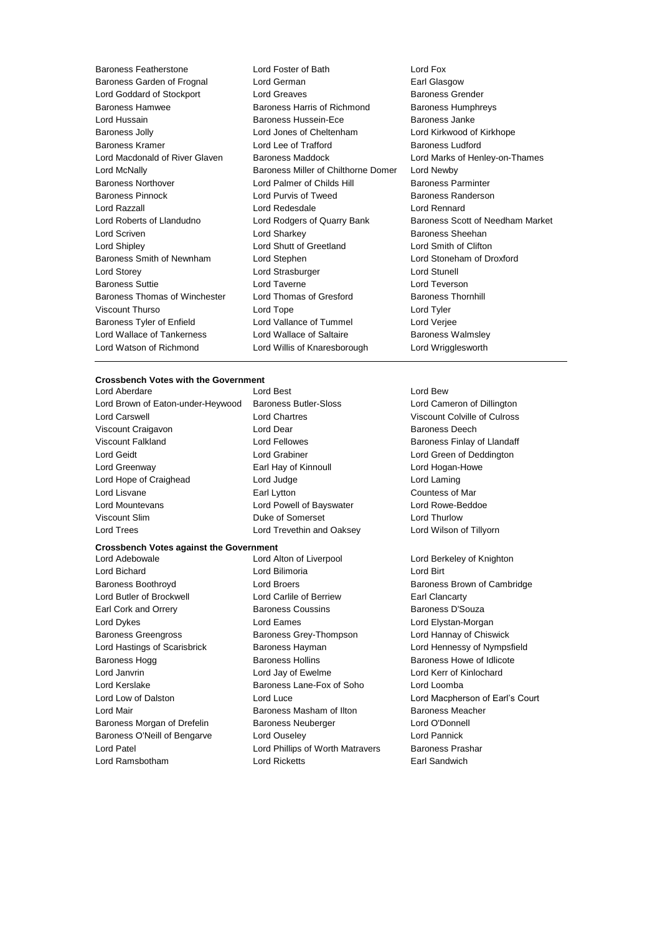Baroness Featherstone Lord Foster of Bath Lord Fox Baroness Garden of Frognal Lord German **Earl Glasgow** Earl Glasgow Lord Goddard of Stockport Lord Greaves **Baroness Grender** Baroness Hamwee Baroness Harris of Richmond Baroness Humphreys Lord Hussain Baroness Hussein-Ece Baroness Janke Baroness Jolly Lord Jones of Cheltenham Lord Kirkwood of Kirkhope Baroness Kramer **Lord Lee of Trafford** Baroness Ludford<br>
Lord Macdonald of River Glaven Baroness Maddock **Baroness Ludford Marks** of Her Lord Macdonald of River Glaven Baroness Maddock Lord Marks of Henley-on-Thames Lord McNally Baroness Miller of Chilthorne Domer Lord Newby Baroness Northover **Lord Palmer of Childs Hill Baroness Parminter** Baroness Pinnock **Lord Purvis of Tweed** Baroness Randerson Lord Razzall Lord Redesdale Lord Rennard Lord Roberts of Llandudno Lord Rodgers of Quarry Bank Baroness Scott of Needham Market Lord Scriven **Lord Sharkey Constant Constant Lord Sharkey Baroness Sheehan** Lord Shipley Lord Shutt of Greetland Lord Smith of Clifton Baroness Smith of Newnham Lord Stephen Lord Stoneham of Droxford Lord Storey Lord Strasburger Lord Stunell Baroness Suttie Lord Taverne Lord Teverson Baroness Thomas of Winchester Lord Thomas of Gresford Baroness Thornhill Viscount Thurso Lord Tope Lord Tyler Baroness Tyler of Enfield Lord Vallance of Tummel Lord Verjee Lord Wallace of Tankerness **Lord Wallace of Saltaire** Baroness Walmsley Lord Watson of Richmond Lord Willis of Knaresborough Lord Wrigglesworth

#### **Crossbench Votes with the Government**

Lord Brown of Eaton-under-Heywood Baroness Butler-Sloss Lord Cameron of Dillington Lord Carswell Lord Chartres Viscount Colville of Culross Viscount Craigavon **Lord Dear Lord Dear Baroness Deech** Viscount Falkland **Lord Fellowes Baroness Finlay of Llandaff L** Corresponding Lord Fellowes Lord Geidt Lord Grabiner Lord Green of Deddington Lord Greenway Earl Hay of Kinnoull Lord Hogan-Howe Lord Hope of Craighead Lord Judge Lord Laming Lord Lisvane Earl Lytton Countess of Mar Lord Mountevans Lord Powell of Bayswater Lord Rowe-Beddoe Viscount Slim Duke of Somerset Lord Thurlow Lord Trees Lord Trevethin and Oaksey Lord Wilson of Tillyorn

## **Crossbench Votes against the Government**

Lord Aberdare Lord Best Lord Bew

Lord Adebowale Lord Alton of Liverpool Lord Berkeley of Knighton Lord Bichard Lord Bilimoria Lord Birt Baroness Boothroyd **Lord Broers Communist Baroness Brown of Cambridge Baroness Brown of Cambridge** Lord Butler of Brockwell Lord Carlile of Berriew Earl Clancarty Earl Cork and Orrery **Baroness Coussins** Baroness D'Souza Lord Dykes **Lord Eames** Lord Eames **Lord Elystan-Morgan** Baroness Greengross **Baroness Grey-Thompson** Lord Hannay of Chiswick Lord Hastings of Scarisbrick Baroness Hayman Lord Hennessy of Nympsfield Baroness Hogg Baroness Hollins Baroness Howe of Idlicote Lord Janvrin Lord Jay of Ewelme Lord Kerr of Kinlochard Lord Kerslake Baroness Lane-Fox of Soho Lord Loomba Lord Mair Baroness Masham of Ilton Baroness Meacher Baroness Morgan of Drefelin Baroness Neuberger **Lord O'Donnell** Baroness O'Neill of Bengarve Lord Ouseley Construction Cord Pannick Lord Patel Lord Phillips of Worth Matravers Baroness Prashar Lord Ramsbotham Lord Ricketts Earl Sandwich

Lord Low of Dalston **Lord Luce** Lord Luce Lord Macpherson of Earl's Court